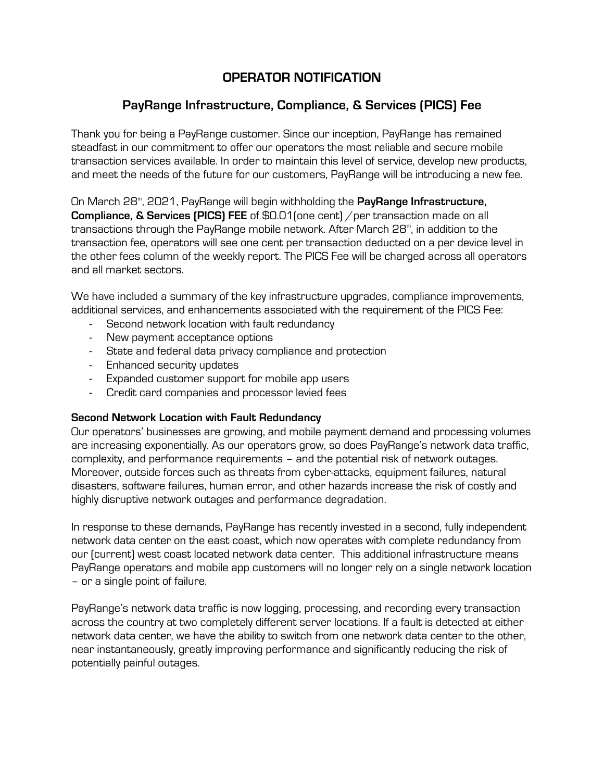# **OPERATOR NOTIFICATION**

# **PayRange Infrastructure, Compliance, & Services (PICS) Fee**

Thank you for being a PayRange customer. Since our inception, PayRange has remained steadfast in our commitment to offer our operators the most reliable and secure mobile transaction services available. In order to maintain this level of service, develop new products, and meet the needs of the future for our customers, PayRange will be introducing a new fee.

On March 28<sup>th</sup>, 2021, PayRange will begin withholding the **PayRange Infrastructure, Compliance, & Services (PICS) FEE** of \$0.01 (one cent) / per transaction made on all transactions through the PayRange mobile network. After March 28<sup>th</sup>, in addition to the transaction fee, operators will see one cent per transaction deducted on a per device level in the other fees column of the weekly report. The PICS Fee will be charged across all operators and all market sectors.

We have included a summary of the key infrastructure upgrades, compliance improvements, additional services, and enhancements associated with the requirement of the PICS Fee:

- Second network location with fault redundancy
- New payment acceptance options
- State and federal data privacy compliance and protection
- Enhanced security updates
- Expanded customer support for mobile app users
- Credit card companies and processor levied fees

## **Second Network Location with Fault Redundancy**

Our operators' businesses are growing, and mobile payment demand and processing volumes are increasing exponentially. As our operators grow, so does PayRange's network data traffic, complexity, and performance requirements – and the potential risk of network outages. Moreover, outside forces such as threats from cyber-attacks, equipment failures, natural disasters, software failures, human error, and other hazards increase the risk of costly and highly disruptive network outages and performance degradation.

In response to these demands, PayRange has recently invested in a second, fully independent network data center on the east coast, which now operates with complete redundancy from our (current) west coast located network data center. This additional infrastructure means PayRange operators and mobile app customers will no longer rely on a single network location – or a single point of failure.

PayRange's network data traffic is now logging, processing, and recording every transaction across the country at two completely different server locations. If a fault is detected at either network data center, we have the ability to switch from one network data center to the other, near instantaneously, greatly improving performance and significantly reducing the risk of potentially painful outages.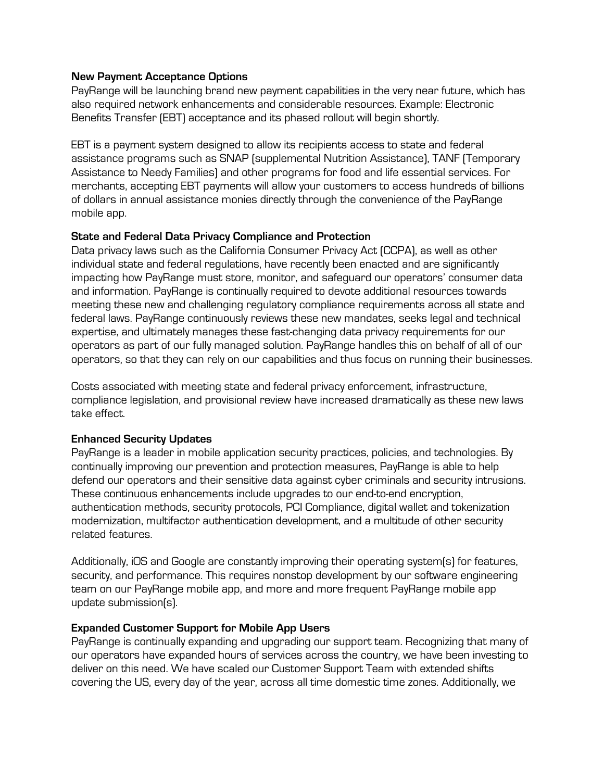## **New Payment Acceptance Options**

PayRange will be launching brand new payment capabilities in the very near future, which has also required network enhancements and considerable resources. Example: Electronic Benefits Transfer (EBT) acceptance and its phased rollout will begin shortly.

EBT is a payment system designed to allow its recipients access to state and federal assistance programs such as SNAP (supplemental Nutrition Assistance), TANF (Temporary Assistance to Needy Families) and other programs for food and life essential services. For merchants, accepting EBT payments will allow your customers to access hundreds of billions of dollars in annual assistance monies directly through the convenience of the PayRange mobile app.

#### **State and Federal Data Privacy Compliance and Protection**

Data privacy laws such as the California Consumer Privacy Act (CCPA), as well as other individual state and federal regulations, have recently been enacted and are significantly impacting how PayRange must store, monitor, and safeguard our operators' consumer data and information. PayRange is continually required to devote additional resources towards meeting these new and challenging regulatory compliance requirements across all state and federal laws. PayRange continuously reviews these new mandates, seeks legal and technical expertise, and ultimately manages these fast-changing data privacy requirements for our operators as part of our fully managed solution. PayRange handles this on behalf of all of our operators, so that they can rely on our capabilities and thus focus on running their businesses.

Costs associated with meeting state and federal privacy enforcement, infrastructure, compliance legislation, and provisional review have increased dramatically as these new laws take effect.

## **Enhanced Security Updates**

PayRange is a leader in mobile application security practices, policies, and technologies. By continually improving our prevention and protection measures, PayRange is able to help defend our operators and their sensitive data against cyber criminals and security intrusions. These continuous enhancements include upgrades to our end-to-end encryption, authentication methods, security protocols, PCI Compliance, digital wallet and tokenization modernization, multifactor authentication development, and a multitude of other security related features.

Additionally, iOS and Google are constantly improving their operating system(s) for features, security, and performance. This requires nonstop development by our software engineering team on our PayRange mobile app, and more and more frequent PayRange mobile app update submission(s).

## **Expanded Customer Support for Mobile App Users**

PayRange is continually expanding and upgrading our support team. Recognizing that many of our operators have expanded hours of services across the country, we have been investing to deliver on this need. We have scaled our Customer Support Team with extended shifts covering the US, every day of the year, across all time domestic time zones. Additionally, we